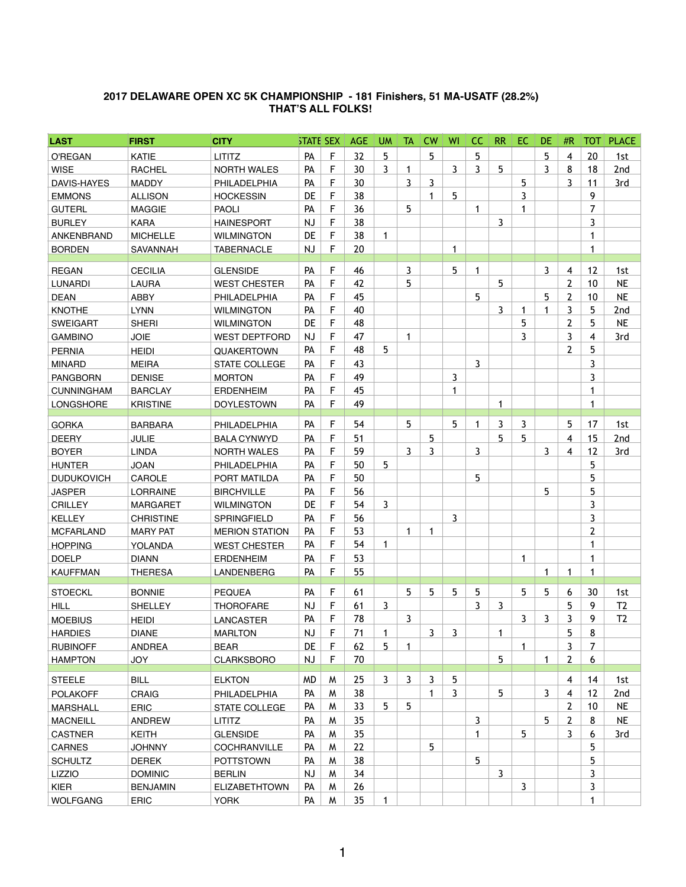## **2017 DELAWARE OPEN XC 5K CHAMPIONSHIP - 181 Finishers, 51 MA-USATF (28.2%) THAT'S ALL FOLKS!**

| <b>LAST</b>        | <b>FIRST</b>     | <b>CITY</b>           | <b>STATE SEX</b> |    | <b>AGE</b> | <b>UM</b>      | TA | <b>CW</b>            | WI             | <b>CC</b>       | <b>RR</b>      | EC.          | <b>DE</b>      | #R             | тот            | <b>PLACE</b>    |
|--------------------|------------------|-----------------------|------------------|----|------------|----------------|----|----------------------|----------------|-----------------|----------------|--------------|----------------|----------------|----------------|-----------------|
| O'REGAN            | <b>KATIE</b>     | <b>LITITZ</b>         | PA               | F  | 32         | 5              |    | 5                    |                | $5\overline{)}$ |                |              | 5              | 4              | 20             | 1st             |
| <b>WISE</b>        | <b>RACHEL</b>    | <b>NORTH WALES</b>    | PA               | F  | 30         | 3              | 1  |                      | $\overline{3}$ | $\overline{3}$  | 5              |              | 3.             | 8              | 18             | 2nd             |
| <b>DAVIS-HAYES</b> | <b>MADDY</b>     | PHILADELPHIA          | <b>PA</b>        | F  | 30         |                | 3  | 3                    |                |                 |                | 5            |                | 3              | 11             | 3rd             |
| <b>EMMONS</b>      | <b>ALLISON</b>   | <b>HOCKESSIN</b>      | DE               | F  | 38         |                |    | 1                    | 5              |                 |                | 3            |                |                | 9              |                 |
| <b>GUTERL</b>      | <b>MAGGIE</b>    | <b>PAOLI</b>          | PA               | F  | 36         |                | 5  |                      |                | 1               |                |              |                |                | 7              |                 |
| <b>BURLEY</b>      | <b>KARA</b>      | <b>HAINESPORT</b>     | <b>NJ</b>        | F  | 38         |                |    |                      |                |                 | 3              |              |                |                | 3              |                 |
| ANKENBRAND         | <b>MICHELLE</b>  | <b>WILMINGTON</b>     | <b>DE</b>        | F  | 38         | 1              |    |                      |                |                 |                |              |                |                | 1              |                 |
| <b>BORDEN</b>      | SAVANNAH         | <b>TABERNACLE</b>     | <b>NJ</b>        | F  | 20         |                |    |                      | $\mathbf{1}$   |                 |                |              |                |                | 1              |                 |
| <b>REGAN</b>       | <b>CECILIA</b>   | <b>GLENSIDE</b>       | PA               | F  | 46         |                | 3  |                      | 5              | 1               |                |              | $\overline{3}$ | 4              | 12             | 1st             |
| <b>LUNARDI</b>     | <b>LAURA</b>     | <b>WEST CHESTER</b>   | PA               | F  | 42         |                | 5  |                      |                |                 | 5              |              |                | $\overline{2}$ | 10             | <b>NE</b>       |
| <b>DEAN</b>        | <b>ABBY</b>      | PHILADELPHIA          | <b>PA</b>        | F  | 45         |                |    |                      |                | 5               |                |              | 5              | $\overline{2}$ | 10             | <b>NE</b>       |
| <b>KNOTHE</b>      | <b>LYNN</b>      | <b>WILMINGTON</b>     | <b>PA</b>        | F  | 40         |                |    |                      |                |                 | 3              |              |                | 3              | 5              | 2 <sub>nd</sub> |
| <b>SWEIGART</b>    | <b>SHERI</b>     | <b>WILMINGTON</b>     | DE               | F  | 48         |                |    |                      |                |                 |                | 5            |                | $\overline{2}$ | 5              | <b>NE</b>       |
| <b>GAMBINO</b>     | <b>JOIE</b>      | <b>WEST DEPTFORD</b>  | <b>NJ</b>        | F  | 47         |                | 1  |                      |                |                 |                | 3            |                | 3              | 4              | 3rd             |
| <b>PERNIA</b>      | <b>HEIDI</b>     | <b>QUAKERTOWN</b>     | <b>PA</b>        | F  | 48         | 5              |    |                      |                |                 |                |              |                | $\overline{2}$ | 5              |                 |
| <b>MINARD</b>      | <b>MEIRA</b>     | <b>STATE COLLEGE</b>  | PA               | F  | 43         |                |    |                      |                | $\mathbf{3}$    |                |              |                |                | 3              |                 |
| <b>PANGBORN</b>    | <b>DENISE</b>    | <b>MORTON</b>         | PA               | F  | 49         |                |    |                      | $\mathbf{3}$   |                 |                |              |                |                | 3              |                 |
| <b>CUNNINGHAM</b>  | <b>BARCLAY</b>   | <b>ERDENHEIM</b>      | PA               | F  | 45         |                |    |                      | 1              |                 |                |              |                |                | 1              |                 |
| <b>LONGSHORE</b>   | <b>KRISTINE</b>  | <b>DOYLESTOWN</b>     | PA               | F  | 49         |                |    |                      |                |                 |                |              |                |                | 1              |                 |
|                    |                  |                       |                  |    |            |                |    |                      |                |                 |                |              |                |                |                |                 |
| <b>GORKA</b>       | <b>BARBARA</b>   | PHILADELPHIA          | PA               | F  | 54         |                | 5  |                      | 5              | $\mathbf 1$     | $\overline{3}$ | $\mathbf{3}$ |                | 5              | 17             | 1st             |
| <b>DEERY</b>       | <b>JULIE</b>     | <b>BALA CYNWYD</b>    | PA               | F  | 51         |                |    | 5                    |                |                 | 5              | 5            |                | 4              | 15             | 2nd             |
| <b>BOYER</b>       | <b>LINDA</b>     | <b>NORTH WALES</b>    | PA               | F  | 59         |                | 3  | 3                    |                | 3               |                |              | 3              | 4              | 12             | 3rd             |
| <b>HUNTER</b>      | <b>JOAN</b>      | PHILADELPHIA          | PA               | F  | 50         | $5^{\circ}$    |    |                      |                |                 |                |              |                |                | 5              |                 |
| <b>DUDUKOVICH</b>  | CAROLE           | PORT MATILDA          | PA               | F  | 50         |                |    |                      |                | 5               |                |              |                |                | 5              |                 |
| <b>JASPER</b>      | <b>LORRAINE</b>  | <b>BIRCHVILLE</b>     | PA               | F  | 56         |                |    |                      |                |                 |                |              | 5              |                | 5              |                 |
| <b>CRILLEY</b>     | <b>MARGARET</b>  | <b>WILMINGTON</b>     | <b>DE</b>        | F  | 54         | 3              |    |                      |                |                 |                |              |                |                | 3              |                 |
| <b>KELLEY</b>      | <b>CHRISTINE</b> | <b>SPRINGFIELD</b>    | PA               | F  | 56         |                |    |                      | 3              |                 |                |              |                |                | 3              |                 |
| <b>MCFARLAND</b>   | <b>MARY PAT</b>  | <b>MERION STATION</b> | PA               | F  | 53         |                |    | $\overline{A}$<br>Ŧ. |                |                 |                |              |                |                | $\overline{2}$ |                 |
| <b>HOPPING</b>     | YOLANDA          | <b>WEST CHESTER</b>   | PA               | F  | 54         | 1              |    |                      |                |                 |                |              |                |                | 1              |                 |
| <b>DOELP</b>       | <b>DIANN</b>     | <b>ERDENHEIM</b>      | PA               | F. | 53         |                |    |                      |                |                 |                |              |                |                | 1              |                 |
| <b>KAUFFMAN</b>    | <b>THERESA</b>   | <b>LANDENBERG</b>     | <b>PA</b>        | F  | 55         |                |    |                      |                |                 |                |              | 1.             | 1              | 1              |                 |
| <b>STOECKL</b>     | <b>BONNIE</b>    | <b>PEQUEA</b>         | PA               | F. | 61         |                | 5  | 5                    | 5              | 5               |                | 5            | 5 <sup>5</sup> | 6              | 30             | 1st             |
| <b>HILL</b>        | <b>SHELLEY</b>   | <b>THOROFARE</b>      | <b>NJ</b>        | F  | 61         | 3              |    |                      |                | 3               | 3              |              |                | 5              | 9              | T <sub>2</sub>  |
| <b>MOEBIUS</b>     | <b>HEIDI</b>     | <b>LANCASTER</b>      | <b>PA</b>        | F  | 78         |                | 3  |                      |                |                 |                | 3            | 3              | 3              | 9              | T <sub>2</sub>  |
| <b>HARDIES</b>     | <b>DIANE</b>     | <b>MARLTON</b>        | <b>NJ</b>        | F. | 71         |                |    | $\overline{3}$       | 3              |                 |                |              |                | 5              | 8              |                 |
| <b>RUBINOFF</b>    | <b>ANDREA</b>    | <b>BEAR</b>           | DE               | F  | 62         | 5              | 1  |                      |                |                 |                |              |                | $\mathbf{3}$   | 7              |                 |
| <b>HAMPTON</b>     | <b>JOY</b>       | <b>CLARKSBORO</b>     | <b>NJ</b>        | F  | 70         |                |    |                      |                |                 | 5              |              | 1.             | $\overline{2}$ | 6              |                 |
|                    |                  |                       |                  |    |            |                |    |                      |                |                 |                |              |                |                |                |                 |
| <b>STEELE</b>      | <b>BILL</b>      | <b>ELKTON</b>         | <b>MD</b>        | M  | 25         | $\overline{3}$ | 3  | 3                    | 5 <sup>5</sup> |                 |                |              |                | 4              | 14             | 1st             |
| <b>POLAKOFF</b>    | <b>CRAIG</b>     | PHILADELPHIA          | PA               | M  | 38         |                |    | 1                    | 3              |                 | 5              |              | 3              | 4              | 12             | 2nd             |
| <b>MARSHALL</b>    | <b>ERIC</b>      | <b>STATE COLLEGE</b>  | <b>PA</b>        | M  | 33         | 5              | 5  |                      |                |                 |                |              |                | $\overline{2}$ | 10             | <b>NE</b>       |
| <b>MACNEILL</b>    | <b>ANDREW</b>    | <b>LITITZ</b>         | PA               | M  | 35         |                |    |                      |                | 3               |                |              | 5              | $\overline{2}$ | 8              | <b>NE</b>       |
| <b>CASTNER</b>     | <b>KEITH</b>     | <b>GLENSIDE</b>       | PA               | M  | 35         |                |    |                      |                | 1               |                | 5            |                | 3              | 6              | 3rd             |
| <b>CARNES</b>      | <b>JOHNNY</b>    | <b>COCHRANVILLE</b>   | PA               | M  | 22         |                |    | 5                    |                |                 |                |              |                |                | 5              |                 |
| <b>SCHULTZ</b>     | <b>DEREK</b>     | <b>POTTSTOWN</b>      | <b>PA</b>        | W  | 38         |                |    |                      |                | 5               |                |              |                |                | 5              |                 |
| <b>LIZZIO</b>      | <b>DOMINIC</b>   | <b>BERLIN</b>         | <b>NJ</b>        | W  | 34         |                |    |                      |                |                 | $\overline{3}$ |              |                |                | 3              |                 |
| <b>KIER</b>        | <b>BENJAMIN</b>  | <b>ELIZABETHTOWN</b>  | <b>PA</b>        | W  | 26         |                |    |                      |                |                 |                | 3            |                |                | 3              |                 |
| <b>WOLFGANG</b>    | <b>ERIC</b>      | <b>YORK</b>           | PA               | M  | 35         | 1              |    |                      |                |                 |                |              |                |                | 1              |                 |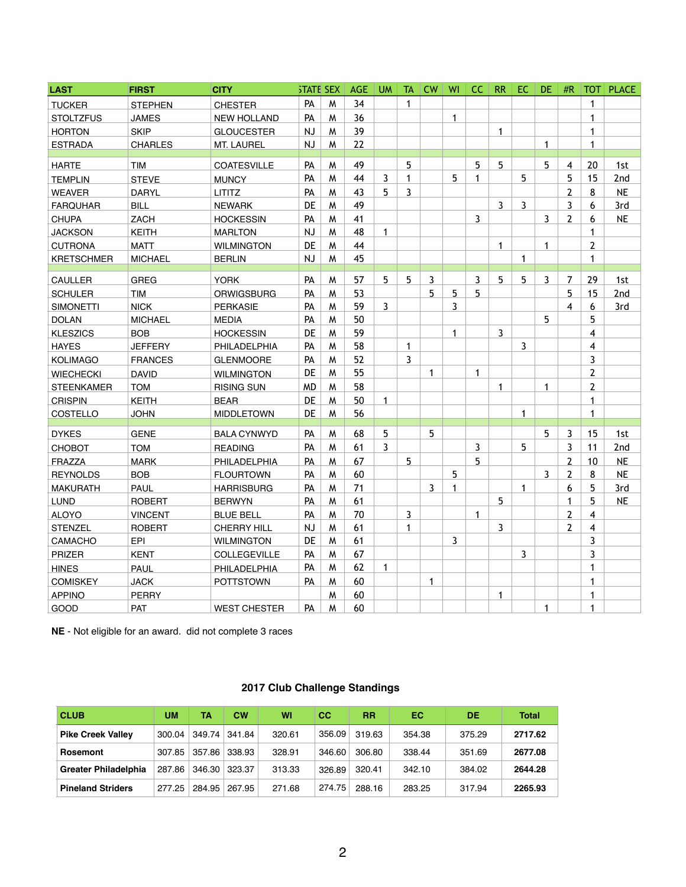| <b>LAST</b>       | <b>FIRST</b>   | <b>CITY</b>         | <b>STATE SEX</b> |   | <b>AGE</b> | <b>UM</b> | <b>TA</b> | <b>CW</b>    | WI             | <sub>CC</sub> | <b>RR</b>    | EC.            | <b>DE</b>    | #R             | <b>TOT</b>     | <b>PLACE</b>    |
|-------------------|----------------|---------------------|------------------|---|------------|-----------|-----------|--------------|----------------|---------------|--------------|----------------|--------------|----------------|----------------|-----------------|
| <b>TUCKER</b>     | <b>STEPHEN</b> | <b>CHESTER</b>      | PA               | M | 34         |           | 1         |              |                |               |              |                |              |                | 1              |                 |
| <b>STOLTZFUS</b>  | <b>JAMES</b>   | <b>NEW HOLLAND</b>  | PA               | M | 36         |           |           |              | $\mathbf 1$    |               |              |                |              |                | 1              |                 |
| <b>HORTON</b>     | <b>SKIP</b>    | <b>GLOUCESTER</b>   | <b>NJ</b>        | M | 39         |           |           |              |                |               | 1            |                |              |                | 1              |                 |
| <b>ESTRADA</b>    | <b>CHARLES</b> | MT. LAUREL          | <b>NJ</b>        | M | 22         |           |           |              |                |               |              |                | 1            |                | 1              |                 |
| <b>HARTE</b>      | <b>TIM</b>     | <b>COATESVILLE</b>  | PA               | M | 49         |           | 5         |              |                | 5             | 5            |                | 5            | 4              | 20             | 1st             |
| <b>TEMPLIN</b>    | <b>STEVE</b>   | <b>MUNCY</b>        | PA               | M | 44         | 3         |           |              | 5              | 1             |              | 5              |              | 5              | 15             | 2 <sub>nd</sub> |
| <b>WEAVER</b>     | <b>DARYL</b>   | <b>LITITZ</b>       | PA               | M | 43         | 5         | 3         |              |                |               |              |                |              | 2              | 8              | <b>NE</b>       |
| <b>FARQUHAR</b>   | <b>BILL</b>    | <b>NEWARK</b>       | <b>DE</b>        | M | 49         |           |           |              |                |               | $\mathbf{3}$ | $\overline{3}$ |              | 3              | 6              | 3rd             |
| <b>CHUPA</b>      | <b>ZACH</b>    | <b>HOCKESSIN</b>    | PA               | M | 41         |           |           |              |                | $\mathbf{3}$  |              |                | $\mathbf{3}$ | $\overline{2}$ | 6              | <b>NE</b>       |
| <b>JACKSON</b>    | <b>KEITH</b>   | <b>MARLTON</b>      | <b>NJ</b>        | M | 48         | -1        |           |              |                |               |              |                |              |                | 1              |                 |
| <b>CUTRONA</b>    | <b>MATT</b>    | <b>WILMINGTON</b>   | <b>DE</b>        | M | 44         |           |           |              |                |               | 1            |                | 1            |                | $\overline{2}$ |                 |
| <b>KRETSCHMER</b> | <b>MICHAEL</b> | <b>BERLIN</b>       | <b>NJ</b>        | M | 45         |           |           |              |                |               |              | 1              |              |                | 1              |                 |
| <b>CAULLER</b>    | <b>GREG</b>    | <b>YORK</b>         | PA               | M | 57         | 5         | 5         | 3            |                | 3             | 5            | 5              | $\mathbf{3}$ | 7              | 29             | 1st             |
| <b>SCHULER</b>    | <b>TIM</b>     | <b>ORWIGSBURG</b>   | PA               | M | 53         |           |           | 5            | 5              | 5             |              |                |              | 5              | 15             | 2 <sub>nd</sub> |
| <b>SIMONETTI</b>  | <b>NICK</b>    | <b>PERKASIE</b>     | PA               | M | 59         | 3         |           |              | 3              |               |              |                |              | 4              | 6              | 3rd             |
| <b>DOLAN</b>      | <b>MICHAEL</b> | <b>MEDIA</b>        | PA               | M | 50         |           |           |              |                |               |              |                | 5            |                | 5              |                 |
| <b>KLESZICS</b>   | <b>BOB</b>     | <b>HOCKESSIN</b>    | <b>DE</b>        | M | 59         |           |           |              | 1              |               | $\mathbf{3}$ |                |              |                | 4              |                 |
| <b>HAYES</b>      | <b>JEFFERY</b> | PHILADELPHIA        | PA               | M | 58         |           | 1         |              |                |               |              | 3              |              |                | 4              |                 |
| <b>KOLIMAGO</b>   | <b>FRANCES</b> | <b>GLENMOORE</b>    | PA               | M | 52         |           | 3         |              |                |               |              |                |              |                | 3              |                 |
| <b>WIECHECKI</b>  | <b>DAVID</b>   | <b>WILMINGTON</b>   | <b>DE</b>        | M | 55         |           |           | 1            |                | 1             |              |                |              |                | $\overline{2}$ |                 |
| <b>STEENKAMER</b> | <b>TOM</b>     | <b>RISING SUN</b>   | <b>MD</b>        | M | 58         |           |           |              |                |               |              |                |              |                | $\overline{2}$ |                 |
| <b>CRISPIN</b>    | <b>KEITH</b>   | <b>BEAR</b>         | <b>DE</b>        | M | 50         |           |           |              |                |               |              |                |              |                | 1              |                 |
| COSTELLO          | <b>JOHN</b>    | <b>MIDDLETOWN</b>   | DE               | M | 56         |           |           |              |                |               |              |                |              |                | 1              |                 |
| <b>DYKES</b>      | <b>GENE</b>    | <b>BALA CYNWYD</b>  | PA               | M | 68         | 5         |           | 5            |                |               |              |                | 5            | 3              | 15             | 1st             |
| <b>CHOBOT</b>     | <b>TOM</b>     | <b>READING</b>      | PA               | M | 61         | 3         |           |              |                | $\mathbf{3}$  |              | 5              |              | 3              | 11             | 2 <sub>nd</sub> |
| FRAZZA            | <b>MARK</b>    | PHILADELPHIA        | PA               | M | 67         |           | 5         |              |                | 5             |              |                |              | 2              | 10             | <b>NE</b>       |
| <b>REYNOLDS</b>   | <b>BOB</b>     | <b>FLOURTOWN</b>    | PA               | M | 60         |           |           |              | 5              |               |              |                | 3            | 2              | 8              | <b>NE</b>       |
| <b>MAKURATH</b>   | <b>PAUL</b>    | <b>HARRISBURG</b>   | <b>PA</b>        | M | 71         |           |           | $\mathbf{3}$ | $\mathbf 1$    |               |              | 1              |              | 6              | 5              | 3rd             |
| <b>LUND</b>       | <b>ROBERT</b>  | <b>BERWYN</b>       | <b>PA</b>        | M | 61         |           |           |              |                |               | 5            |                |              |                | 5              | <b>NE</b>       |
| <b>ALOYO</b>      | <b>VINCENT</b> | <b>BLUE BELL</b>    | PA               | M | 70         |           | 3         |              |                | 1             |              |                |              | $\overline{2}$ | 4              |                 |
| <b>STENZEL</b>    | <b>ROBERT</b>  | <b>CHERRY HILL</b>  | NJ               | M | 61         |           |           |              |                |               | $\mathbf{3}$ |                |              | 2              | 4              |                 |
| CAMACHO           | EPI            | <b>WILMINGTON</b>   | DE               | M | 61         |           |           |              | $\overline{3}$ |               |              |                |              |                | 3              |                 |
| PRIZER            | <b>KENT</b>    | <b>COLLEGEVILLE</b> | <b>PA</b>        | M | 67         |           |           |              |                |               |              | 3              |              |                | 3              |                 |
| <b>HINES</b>      | <b>PAUL</b>    | PHILADELPHIA        | <b>PA</b>        | M | 62         | 1         |           |              |                |               |              |                |              |                | 1              |                 |
| <b>COMISKEY</b>   | <b>JACK</b>    | <b>POTTSTOWN</b>    | <b>PA</b>        | M | 60         |           |           | 1            |                |               |              |                |              |                | 1              |                 |
| <b>APPINO</b>     | <b>PERRY</b>   |                     |                  | W | 60         |           |           |              |                |               | 1            |                |              |                | 1              |                 |
| GOOD              | <b>PAT</b>     | <b>WEST CHESTER</b> | PA               | M | 60         |           |           |              |                |               |              |                | 1            |                | 1              |                 |

**NE** - Not eligible for an award. did not complete 3 races

| <b>CLUB</b>                 | UM     | TA     | <b>CW</b>     | WI     | <b>CC</b> | RR     | ЕC     | DE     | <b>Total</b> |
|-----------------------------|--------|--------|---------------|--------|-----------|--------|--------|--------|--------------|
| <b>Pike Creek Valley</b>    | 300.04 |        | 349.74 341.84 | 320.61 | 356.09    | 319.63 | 354.38 | 375.29 | 2717.62      |
| <b>Rosemont</b>             | 307.85 | 357.86 | 338.93        | 328.91 | 346.60    | 306.80 | 338.44 | 351.69 | 2677.08      |
| <b>Greater Philadelphia</b> | 287.86 |        | 346.30 323.37 | 313.33 | 326.89    | 320.41 | 342.10 | 384.02 | 2644.28      |
| <b>Pineland Striders</b>    | 277.25 | 284.95 | 267.95        | 271.68 | 274.75    | 288.16 | 283.25 | 317.94 | 2265.93      |

## **2017 Club Challenge Standings**